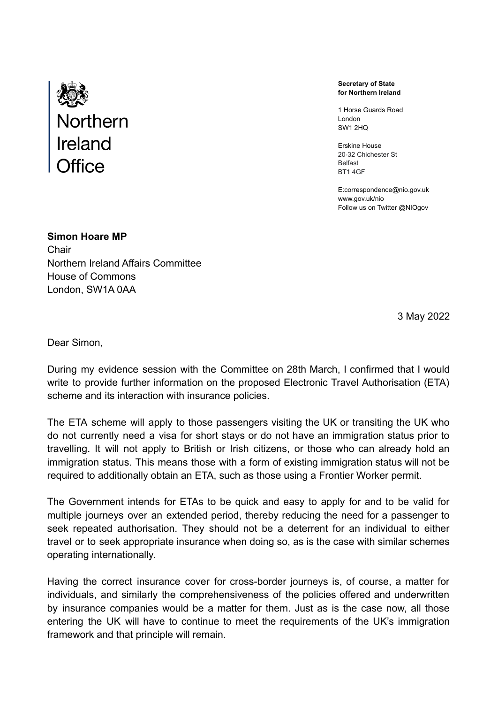

**Secretary of State for Northern Ireland**

1 Horse Guards Road London SW1 2HQ

Erskine House 20-32 Chichester St Belfast BT1 4GF

E:correspondence@nio.gov.uk <www.gov.uk/nio> Follow us on Twitter @NIOgov

**Simon Hoare MP Chair** Northern Ireland Affairs Committee House of Commons London, SW1A 0AA

3 May 2022

Dear Simon,

During my evidence session with the Committee on 28th March, I confirmed that I would write to provide further information on the proposed Electronic Travel Authorisation (ETA) scheme and its interaction with insurance policies.

The ETA scheme will apply to those passengers visiting the UK or transiting the UK who do not currently need a visa for short stays or do not have an immigration status prior to travelling. It will not apply to British or Irish citizens, or those who can already hold an immigration status. This means those with a form of existing immigration status will not be required to additionally obtain an ETA, such as those using a Frontier Worker permit.

The Government intends for ETAs to be quick and easy to apply for and to be valid for multiple journeys over an extended period, thereby reducing the need for a passenger to seek repeated authorisation. They should not be a deterrent for an individual to either travel or to seek appropriate insurance when doing so, as is the case with similar schemes operating internationally.

Having the correct insurance cover for cross-border journeys is, of course, a matter for individuals, and similarly the comprehensiveness of the policies offered and underwritten by insurance companies would be a matter for them. Just as is the case now, all those entering the UK will have to continue to meet the requirements of the UK's immigration framework and that principle will remain.